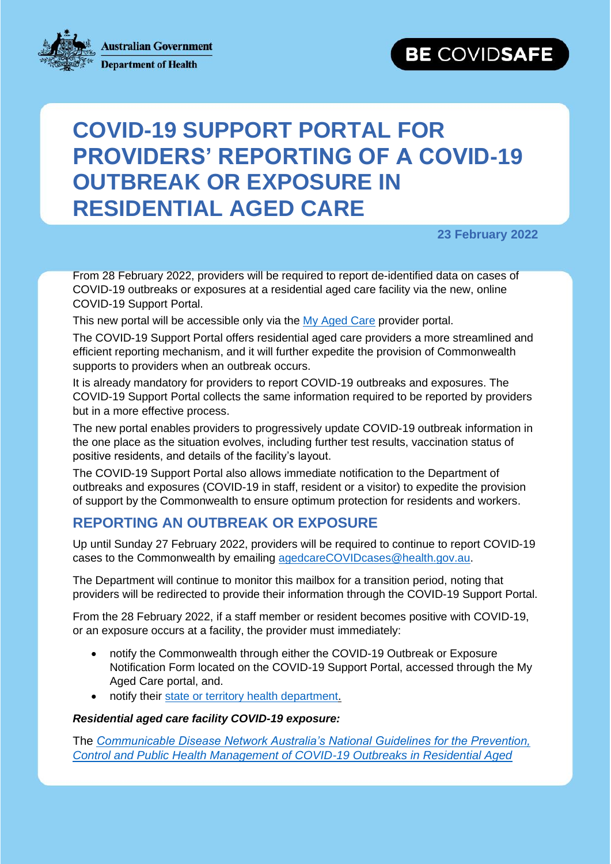

# **COVID-19 SUPPORT PORTAL FOR PROVIDERS' REPORTING OF A COVID-19 OUTBREAK OR EXPOSURE IN RESIDENTIAL AGED CARE**

exposure in residential agents in residential agents in residential agents in residential agents in residentia<br>In residential agents in residential agents in residential agents in residential agents in residential agents

**23 February 2022**

From 28 February 2022, providers will be required to report de-identified data on cases of COVID-19 outbreaks or exposures at a residential aged care facility via the new, online COVID-19 Support Portal.

This new portal will be accessible only via the [My Aged Care](https://thirdparty-2.myac.gov.au/adfs/ls/?wa=wsignin1.0&wtrealm=https%3a%2f%2fmyagedcare-serviceproviderportal.health.gov.au%2f&wctx=rm%3d0%26id%3dpassive%26ru%3d%252f&wct=2022-02-08T22%3a05%3a04Z) provider portal.

The COVID-19 Support Portal offers residential aged care providers a more streamlined and efficient reporting mechanism, and it will further expedite the provision of Commonwealth supports to providers when an outbreak occurs.

It is already mandatory for providers to report COVID-19 outbreaks and exposures. The COVID-19 Support Portal collects the same information required to be reported by providers but in a more effective process.

The new portal enables providers to progressively update COVID-19 outbreak information in the one place as the situation evolves, including further test results, vaccination status of positive residents, and details of the facility's layout.

The COVID-19 Support Portal also allows immediate notification to the Department of outbreaks and exposures (COVID-19 in staff, resident or a visitor) to expedite the provision of support by the Commonwealth to ensure optimum protection for residents and workers.

## **REPORTING AN OUTBREAK OR EXPOSURE**

Up until Sunday 27 February 2022, providers will be required to continue to report COVID-19 cases to the Commonwealth by emailing [agedcareCOVIDcases@health.gov.au.](mailto:agedcareCOVIDcases@health.gov.au)

The Department will continue to monitor this mailbox for a transition period, noting that providers will be redirected to provide their information through the COVID-19 Support Portal.

From the 28 February 2022, if a staff member or resident becomes positive with COVID-19, or an exposure occurs at a facility, the provider must immediately:

- notify the Commonwealth through either the COVID-19 Outbreak or Exposure Notification Form located on the COVID-19 Support Portal, accessed through the My Aged Care portal, and.
- notify their [state or territory health department.](https://www.health.gov.au/about-us/contact-us/local-state-and-territory-health-departments)

#### *Residential aged care facility COVID-19 exposure:*

The *[Communicable Disease Network Australia's National Guidelines for the Prevention,](https://www.health.gov.au/resources/publications/cdna-national-guidelines-for-the-prevention-control-and-public-health-management-of-covid-19-outbreaks-in-residential-care-facilities-in-australia)  [Control and Public Health Management of COVID-19 Outbreaks in Residential Aged](https://www.health.gov.au/resources/publications/cdna-national-guidelines-for-the-prevention-control-and-public-health-management-of-covid-19-outbreaks-in-residential-care-facilities-in-australia)*